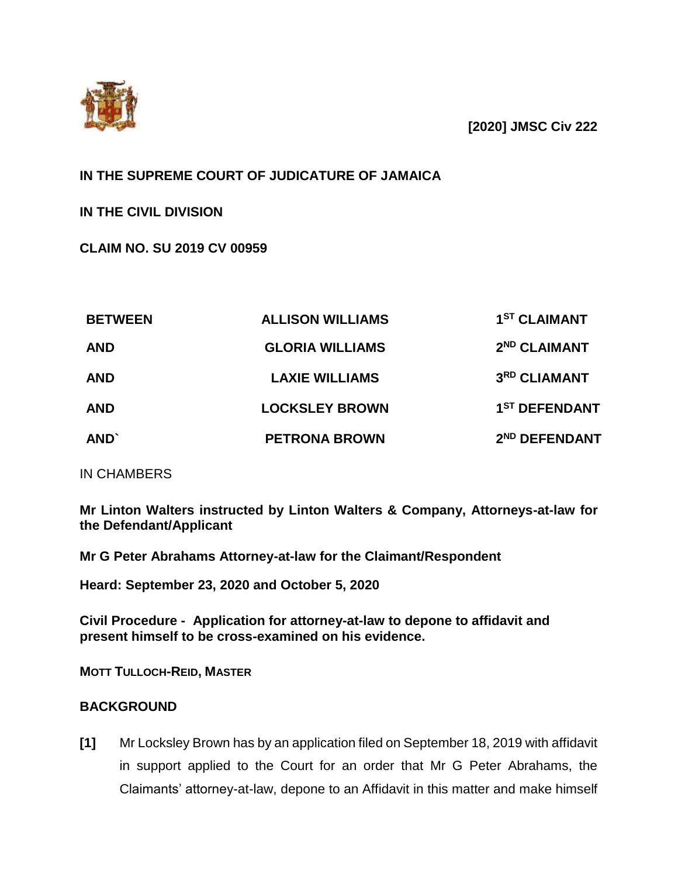

**[2020] JMSC Civ 222**

# **IN THE SUPREME COURT OF JUDICATURE OF JAMAICA**

**IN THE CIVIL DIVISION**

**CLAIM NO. SU 2019 CV 00959**

| <b>BETWEEN</b><br><b>AND</b><br><b>AND</b><br><b>AND</b> | <b>ALLISON WILLIAMS</b>                                                  | 1 <sup>ST</sup> CLAIMANT                                              |      |                      |                           |
|----------------------------------------------------------|--------------------------------------------------------------------------|-----------------------------------------------------------------------|------|----------------------|---------------------------|
|                                                          | <b>GLORIA WILLIAMS</b><br><b>LAXIE WILLIAMS</b><br><b>LOCKSLEY BROWN</b> | 2 <sup>ND</sup> CLAIMANT<br>3RD CLIAMANT<br>1 <sup>ST</sup> DEFENDANT |      |                      |                           |
|                                                          |                                                                          |                                                                       | AND' | <b>PETRONA BROWN</b> | 2 <sup>ND</sup> DEFENDANT |

IN CHAMBERS

**Mr Linton Walters instructed by Linton Walters & Company, Attorneys-at-law for the Defendant/Applicant**

**Mr G Peter Abrahams Attorney-at-law for the Claimant/Respondent**

**Heard: September 23, 2020 and October 5, 2020**

**Civil Procedure - Application for attorney-at-law to depone to affidavit and present himself to be cross-examined on his evidence.** 

**MOTT TULLOCH-REID, MASTER**

## **BACKGROUND**

**[1]** Mr Locksley Brown has by an application filed on September 18, 2019 with affidavit in support applied to the Court for an order that Mr G Peter Abrahams, the Claimants' attorney-at-law, depone to an Affidavit in this matter and make himself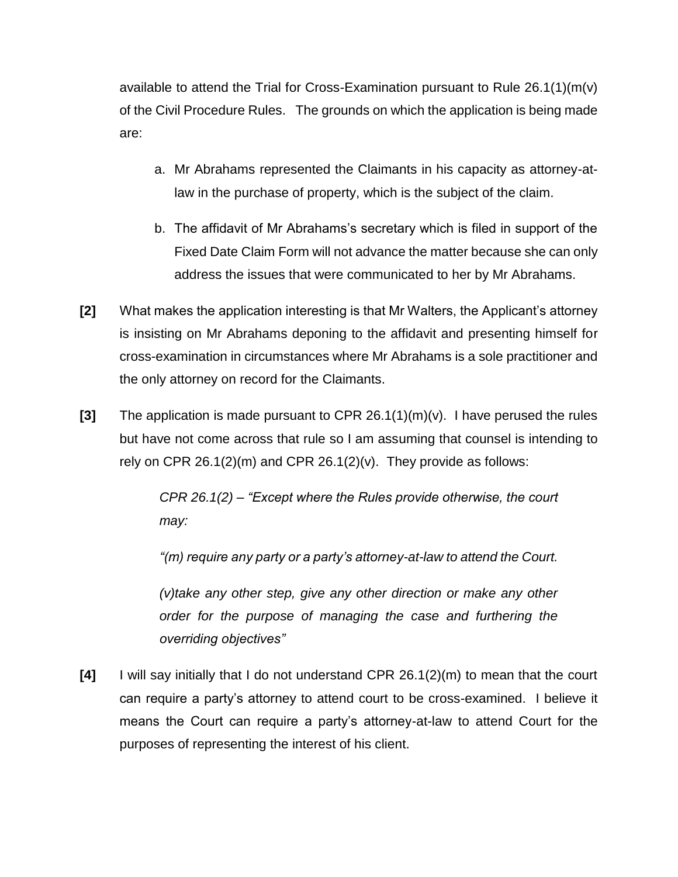available to attend the Trial for Cross-Examination pursuant to Rule  $26.1(1)(m(v))$ of the Civil Procedure Rules. The grounds on which the application is being made are:

- a. Mr Abrahams represented the Claimants in his capacity as attorney-atlaw in the purchase of property, which is the subject of the claim.
- b. The affidavit of Mr Abrahams's secretary which is filed in support of the Fixed Date Claim Form will not advance the matter because she can only address the issues that were communicated to her by Mr Abrahams.
- **[2]** What makes the application interesting is that Mr Walters, the Applicant's attorney is insisting on Mr Abrahams deponing to the affidavit and presenting himself for cross-examination in circumstances where Mr Abrahams is a sole practitioner and the only attorney on record for the Claimants.
- **[3]** The application is made pursuant to CPR 26.1(1)(m)(v). I have perused the rules but have not come across that rule so I am assuming that counsel is intending to rely on CPR  $26.1(2)(m)$  and CPR  $26.1(2)(v)$ . They provide as follows:

*CPR 26.1(2) – "Except where the Rules provide otherwise, the court may:*

*"(m) require any party or a party's attorney-at-law to attend the Court.*

*(v)take any other step, give any other direction or make any other order for the purpose of managing the case and furthering the overriding objectives"*

**[4]** I will say initially that I do not understand CPR 26.1(2)(m) to mean that the court can require a party's attorney to attend court to be cross-examined. I believe it means the Court can require a party's attorney-at-law to attend Court for the purposes of representing the interest of his client.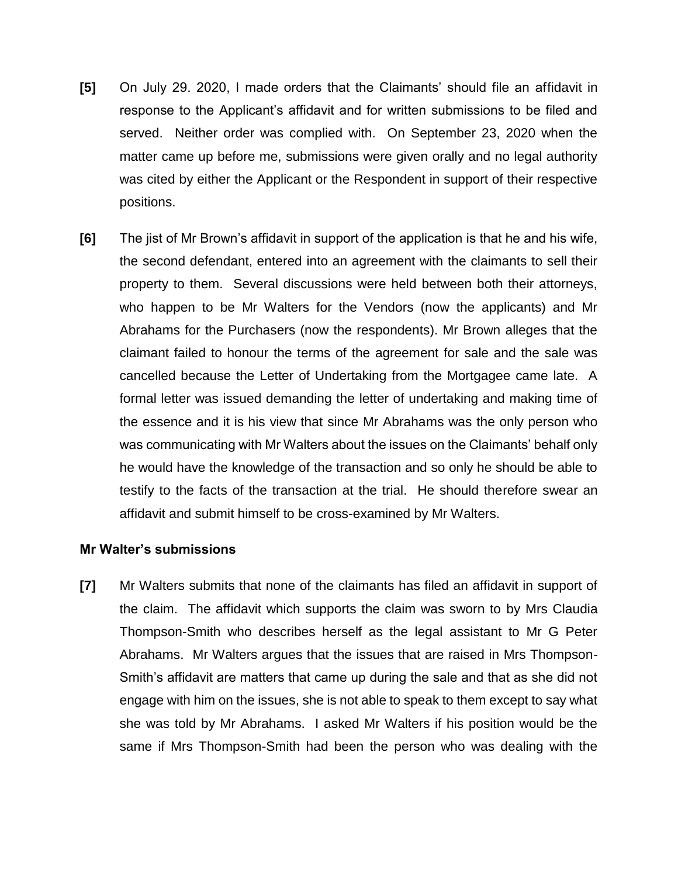- **[5]** On July 29. 2020, I made orders that the Claimants' should file an affidavit in response to the Applicant's affidavit and for written submissions to be filed and served. Neither order was complied with. On September 23, 2020 when the matter came up before me, submissions were given orally and no legal authority was cited by either the Applicant or the Respondent in support of their respective positions.
- **[6]** The jist of Mr Brown's affidavit in support of the application is that he and his wife, the second defendant, entered into an agreement with the claimants to sell their property to them. Several discussions were held between both their attorneys, who happen to be Mr Walters for the Vendors (now the applicants) and Mr Abrahams for the Purchasers (now the respondents). Mr Brown alleges that the claimant failed to honour the terms of the agreement for sale and the sale was cancelled because the Letter of Undertaking from the Mortgagee came late. A formal letter was issued demanding the letter of undertaking and making time of the essence and it is his view that since Mr Abrahams was the only person who was communicating with Mr Walters about the issues on the Claimants' behalf only he would have the knowledge of the transaction and so only he should be able to testify to the facts of the transaction at the trial. He should therefore swear an affidavit and submit himself to be cross-examined by Mr Walters.

#### **Mr Walter's submissions**

**[7]** Mr Walters submits that none of the claimants has filed an affidavit in support of the claim. The affidavit which supports the claim was sworn to by Mrs Claudia Thompson-Smith who describes herself as the legal assistant to Mr G Peter Abrahams. Mr Walters argues that the issues that are raised in Mrs Thompson-Smith's affidavit are matters that came up during the sale and that as she did not engage with him on the issues, she is not able to speak to them except to say what she was told by Mr Abrahams. I asked Mr Walters if his position would be the same if Mrs Thompson-Smith had been the person who was dealing with the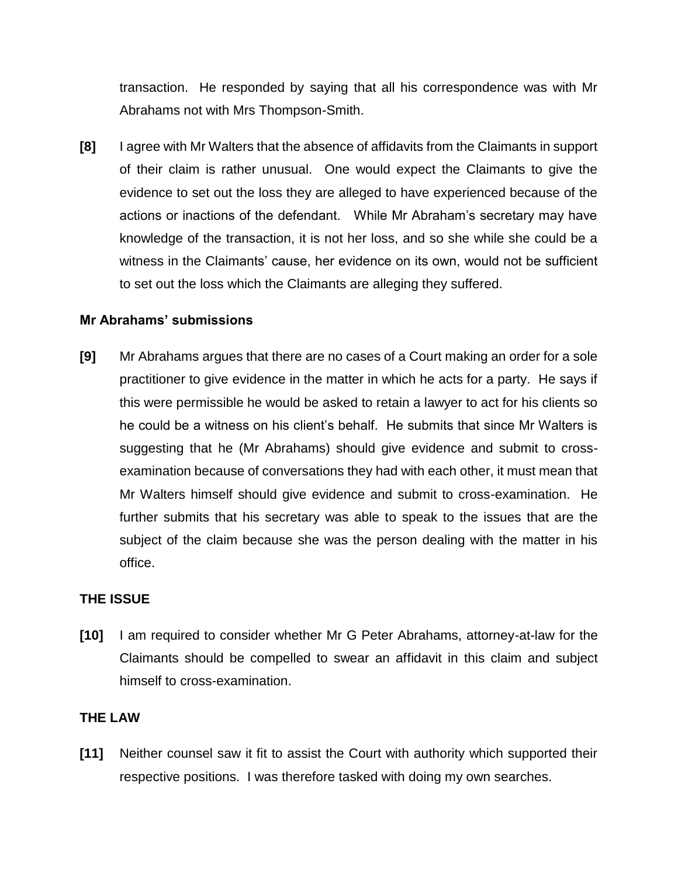transaction. He responded by saying that all his correspondence was with Mr Abrahams not with Mrs Thompson-Smith.

**[8]** I agree with Mr Walters that the absence of affidavits from the Claimants in support of their claim is rather unusual. One would expect the Claimants to give the evidence to set out the loss they are alleged to have experienced because of the actions or inactions of the defendant. While Mr Abraham's secretary may have knowledge of the transaction, it is not her loss, and so she while she could be a witness in the Claimants' cause, her evidence on its own, would not be sufficient to set out the loss which the Claimants are alleging they suffered.

### **Mr Abrahams' submissions**

**[9]** Mr Abrahams argues that there are no cases of a Court making an order for a sole practitioner to give evidence in the matter in which he acts for a party. He says if this were permissible he would be asked to retain a lawyer to act for his clients so he could be a witness on his client's behalf. He submits that since Mr Walters is suggesting that he (Mr Abrahams) should give evidence and submit to crossexamination because of conversations they had with each other, it must mean that Mr Walters himself should give evidence and submit to cross-examination. He further submits that his secretary was able to speak to the issues that are the subject of the claim because she was the person dealing with the matter in his office.

### **THE ISSUE**

**[10]** I am required to consider whether Mr G Peter Abrahams, attorney-at-law for the Claimants should be compelled to swear an affidavit in this claim and subject himself to cross-examination.

### **THE LAW**

**[11]** Neither counsel saw it fit to assist the Court with authority which supported their respective positions. I was therefore tasked with doing my own searches.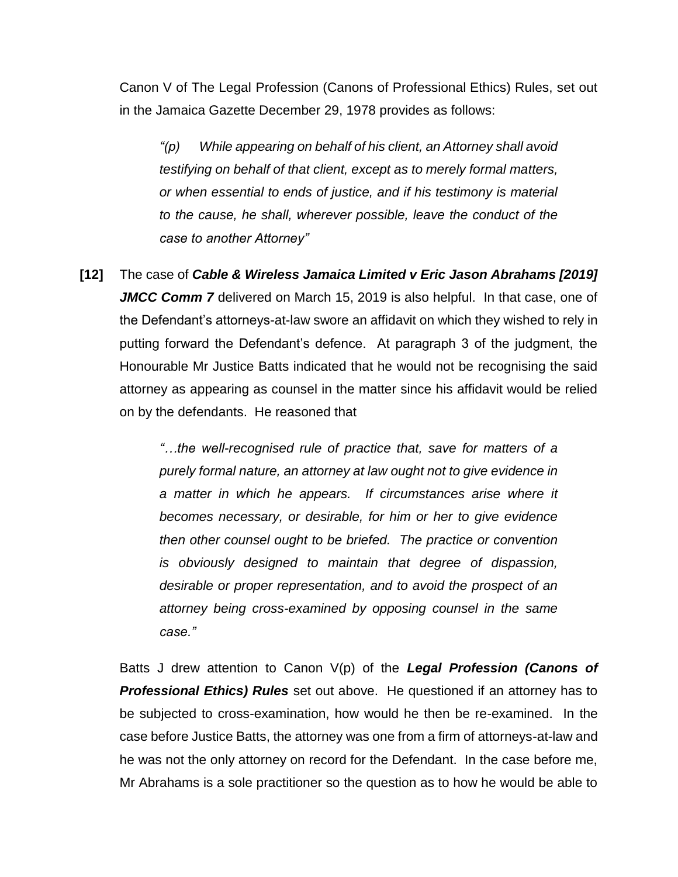Canon V of The Legal Profession (Canons of Professional Ethics) Rules, set out in the Jamaica Gazette December 29, 1978 provides as follows:

*"(p) While appearing on behalf of his client, an Attorney shall avoid testifying on behalf of that client, except as to merely formal matters, or when essential to ends of justice, and if his testimony is material to the cause, he shall, wherever possible, leave the conduct of the case to another Attorney"*

**[12]** The case of *Cable & Wireless Jamaica Limited v Eric Jason Abrahams [2019] JMCC Comm 7* delivered on March 15, 2019 is also helpful. In that case, one of the Defendant's attorneys-at-law swore an affidavit on which they wished to rely in putting forward the Defendant's defence. At paragraph 3 of the judgment, the Honourable Mr Justice Batts indicated that he would not be recognising the said attorney as appearing as counsel in the matter since his affidavit would be relied on by the defendants. He reasoned that

> *"…the well-recognised rule of practice that, save for matters of a purely formal nature, an attorney at law ought not to give evidence in a matter in which he appears. If circumstances arise where it becomes necessary, or desirable, for him or her to give evidence then other counsel ought to be briefed. The practice or convention is obviously designed to maintain that degree of dispassion, desirable or proper representation, and to avoid the prospect of an attorney being cross-examined by opposing counsel in the same case."*

Batts J drew attention to Canon V(p) of the *Legal Profession (Canons of Professional Ethics) Rules* set out above. He questioned if an attorney has to be subjected to cross-examination, how would he then be re-examined. In the case before Justice Batts, the attorney was one from a firm of attorneys-at-law and he was not the only attorney on record for the Defendant. In the case before me, Mr Abrahams is a sole practitioner so the question as to how he would be able to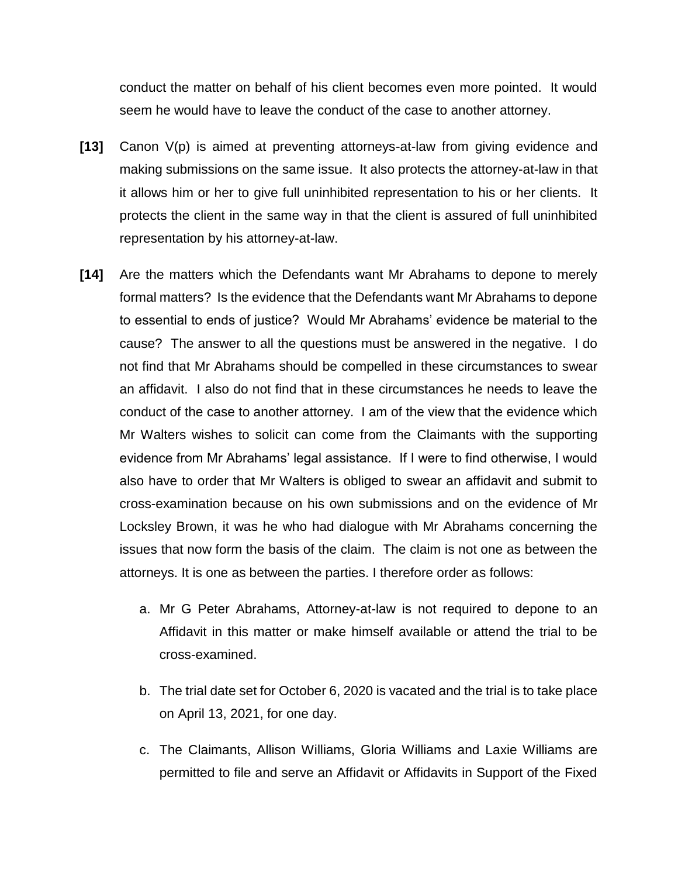conduct the matter on behalf of his client becomes even more pointed. It would seem he would have to leave the conduct of the case to another attorney.

- **[13]** Canon V(p) is aimed at preventing attorneys-at-law from giving evidence and making submissions on the same issue. It also protects the attorney-at-law in that it allows him or her to give full uninhibited representation to his or her clients. It protects the client in the same way in that the client is assured of full uninhibited representation by his attorney-at-law.
- **[14]** Are the matters which the Defendants want Mr Abrahams to depone to merely formal matters? Is the evidence that the Defendants want Mr Abrahams to depone to essential to ends of justice? Would Mr Abrahams' evidence be material to the cause? The answer to all the questions must be answered in the negative. I do not find that Mr Abrahams should be compelled in these circumstances to swear an affidavit. I also do not find that in these circumstances he needs to leave the conduct of the case to another attorney. I am of the view that the evidence which Mr Walters wishes to solicit can come from the Claimants with the supporting evidence from Mr Abrahams' legal assistance. If I were to find otherwise, I would also have to order that Mr Walters is obliged to swear an affidavit and submit to cross-examination because on his own submissions and on the evidence of Mr Locksley Brown, it was he who had dialogue with Mr Abrahams concerning the issues that now form the basis of the claim. The claim is not one as between the attorneys. It is one as between the parties. I therefore order as follows:
	- a. Mr G Peter Abrahams, Attorney-at-law is not required to depone to an Affidavit in this matter or make himself available or attend the trial to be cross-examined.
	- b. The trial date set for October 6, 2020 is vacated and the trial is to take place on April 13, 2021, for one day.
	- c. The Claimants, Allison Williams, Gloria Williams and Laxie Williams are permitted to file and serve an Affidavit or Affidavits in Support of the Fixed